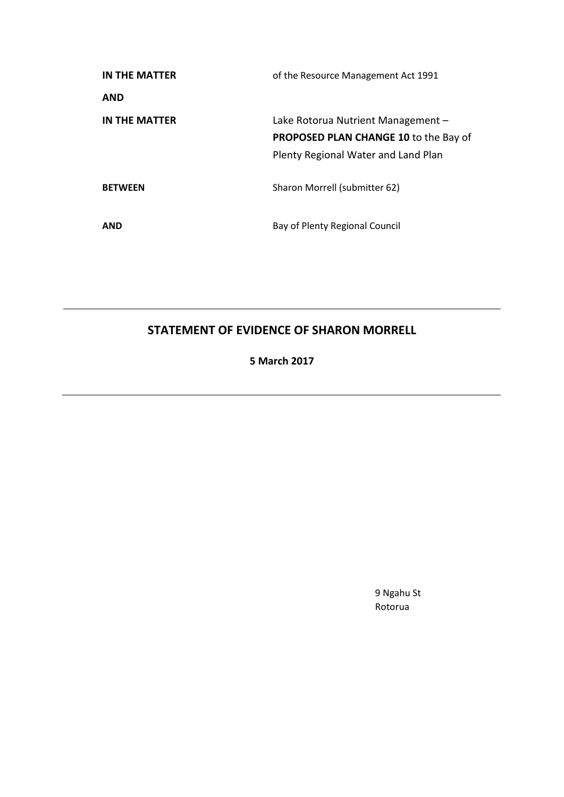| IN THE MATTER  | of the Resource Management Act 1991          |
|----------------|----------------------------------------------|
| <b>AND</b>     |                                              |
| IN THE MATTER  | Lake Rotorua Nutrient Management -           |
|                | <b>PROPOSED PLAN CHANGE 10 to the Bay of</b> |
|                | Plenty Regional Water and Land Plan          |
| <b>BETWEEN</b> | Sharon Morrell (submitter 62)                |
| <b>AND</b>     | Bay of Plenty Regional Council               |

# **STATEMENT OF EVIDENCE OF SHARON MORRELL**

**5 March 2017**

9 Ngahu St Rotorua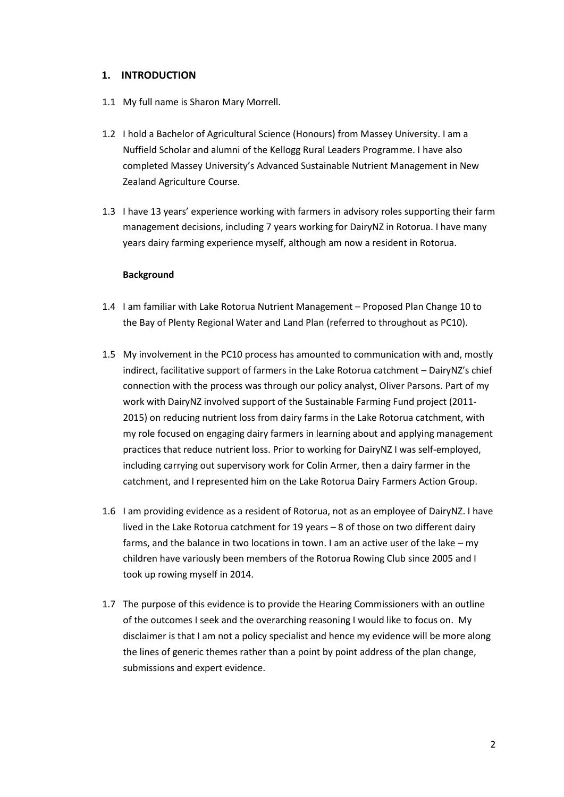## **1. INTRODUCTION**

- 1.1 My full name is Sharon Mary Morrell.
- 1.2 I hold a Bachelor of Agricultural Science (Honours) from Massey University. I am a Nuffield Scholar and alumni of the Kellogg Rural Leaders Programme. I have also completed Massey University's Advanced Sustainable Nutrient Management in New Zealand Agriculture Course.
- 1.3 I have 13 years' experience working with farmers in advisory roles supporting their farm management decisions, including 7 years working for DairyNZ in Rotorua. I have many years dairy farming experience myself, although am now a resident in Rotorua.

#### **Background**

- 1.4 I am familiar with Lake Rotorua Nutrient Management Proposed Plan Change 10 to the Bay of Plenty Regional Water and Land Plan (referred to throughout as PC10).
- 1.5 My involvement in the PC10 process has amounted to communication with and, mostly indirect, facilitative support of farmers in the Lake Rotorua catchment – DairyNZ's chief connection with the process was through our policy analyst, Oliver Parsons. Part of my work with DairyNZ involved support of the Sustainable Farming Fund project (2011- 2015) on reducing nutrient loss from dairy farms in the Lake Rotorua catchment, with my role focused on engaging dairy farmers in learning about and applying management practices that reduce nutrient loss. Prior to working for DairyNZ I was self-employed, including carrying out supervisory work for Colin Armer, then a dairy farmer in the catchment, and I represented him on the Lake Rotorua Dairy Farmers Action Group.
- 1.6 I am providing evidence as a resident of Rotorua, not as an employee of DairyNZ. I have lived in the Lake Rotorua catchment for 19 years – 8 of those on two different dairy farms, and the balance in two locations in town. I am an active user of the lake – my children have variously been members of the Rotorua Rowing Club since 2005 and I took up rowing myself in 2014.
- 1.7 The purpose of this evidence is to provide the Hearing Commissioners with an outline of the outcomes I seek and the overarching reasoning I would like to focus on. My disclaimer is that I am not a policy specialist and hence my evidence will be more along the lines of generic themes rather than a point by point address of the plan change, submissions and expert evidence.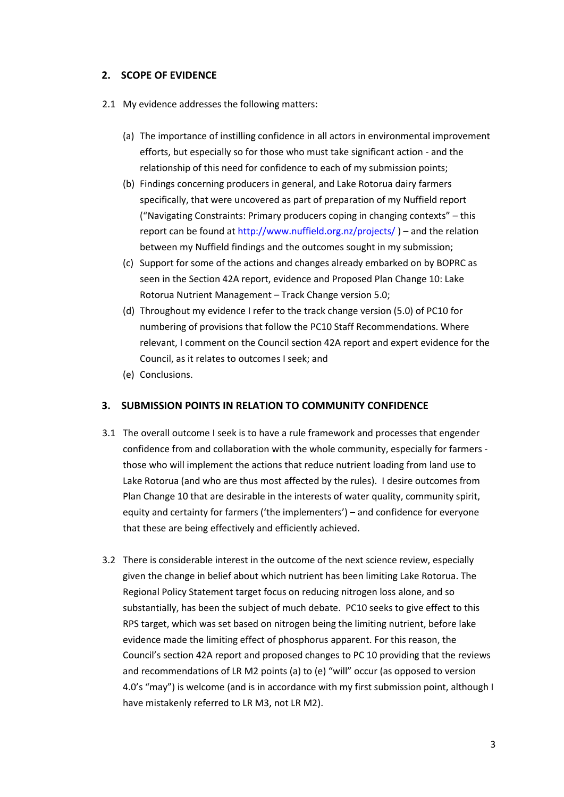# **2. SCOPE OF EVIDENCE**

- 2.1 My evidence addresses the following matters:
	- (a) The importance of instilling confidence in all actors in environmental improvement efforts, but especially so for those who must take significant action - and the relationship of this need for confidence to each of my submission points;
	- (b) Findings concerning producers in general, and Lake Rotorua dairy farmers specifically, that were uncovered as part of preparation of my Nuffield report ("Navigating Constraints: Primary producers coping in changing contexts" – this report can be found at<http://www.nuffield.org.nz/projects/> ) – and the relation between my Nuffield findings and the outcomes sought in my submission;
	- (c) Support for some of the actions and changes already embarked on by BOPRC as seen in the Section 42A report, evidence and Proposed Plan Change 10: Lake Rotorua Nutrient Management – Track Change version 5.0;
	- (d) Throughout my evidence I refer to the track change version (5.0) of PC10 for numbering of provisions that follow the PC10 Staff Recommendations. Where relevant, I comment on the Council section 42A report and expert evidence for the Council, as it relates to outcomes I seek; and
	- (e) Conclusions.

#### **3. SUBMISSION POINTS IN RELATION TO COMMUNITY CONFIDENCE**

- 3.1 The overall outcome I seek is to have a rule framework and processes that engender confidence from and collaboration with the whole community, especially for farmers those who will implement the actions that reduce nutrient loading from land use to Lake Rotorua (and who are thus most affected by the rules). I desire outcomes from Plan Change 10 that are desirable in the interests of water quality, community spirit, equity and certainty for farmers ('the implementers') – and confidence for everyone that these are being effectively and efficiently achieved.
- 3.2 There is considerable interest in the outcome of the next science review, especially given the change in belief about which nutrient has been limiting Lake Rotorua. The Regional Policy Statement target focus on reducing nitrogen loss alone, and so substantially, has been the subject of much debate. PC10 seeks to give effect to this RPS target, which was set based on nitrogen being the limiting nutrient, before lake evidence made the limiting effect of phosphorus apparent. For this reason, the Council's section 42A report and proposed changes to PC 10 providing that the reviews and recommendations of LR M2 points (a) to (e) "will" occur (as opposed to version 4.0's "may") is welcome (and is in accordance with my first submission point, although I have mistakenly referred to LR M3, not LR M2).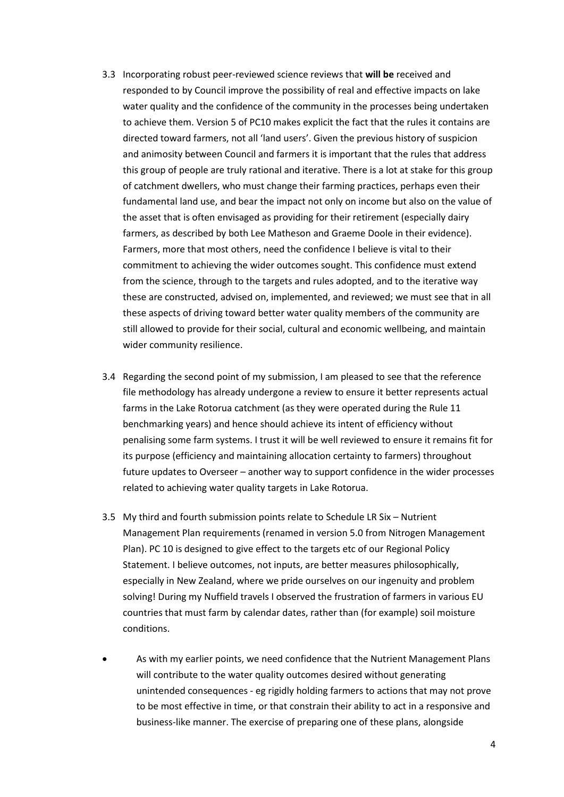- 3.3 Incorporating robust peer-reviewed science reviews that **will be** received and responded to by Council improve the possibility of real and effective impacts on lake water quality and the confidence of the community in the processes being undertaken to achieve them. Version 5 of PC10 makes explicit the fact that the rules it contains are directed toward farmers, not all 'land users'. Given the previous history of suspicion and animosity between Council and farmers it is important that the rules that address this group of people are truly rational and iterative. There is a lot at stake for this group of catchment dwellers, who must change their farming practices, perhaps even their fundamental land use, and bear the impact not only on income but also on the value of the asset that is often envisaged as providing for their retirement (especially dairy farmers, as described by both Lee Matheson and Graeme Doole in their evidence). Farmers, more that most others, need the confidence I believe is vital to their commitment to achieving the wider outcomes sought. This confidence must extend from the science, through to the targets and rules adopted, and to the iterative way these are constructed, advised on, implemented, and reviewed; we must see that in all these aspects of driving toward better water quality members of the community are still allowed to provide for their social, cultural and economic wellbeing, and maintain wider community resilience.
- 3.4 Regarding the second point of my submission, I am pleased to see that the reference file methodology has already undergone a review to ensure it better represents actual farms in the Lake Rotorua catchment (as they were operated during the Rule 11 benchmarking years) and hence should achieve its intent of efficiency without penalising some farm systems. I trust it will be well reviewed to ensure it remains fit for its purpose (efficiency and maintaining allocation certainty to farmers) throughout future updates to Overseer – another way to support confidence in the wider processes related to achieving water quality targets in Lake Rotorua.
- 3.5 My third and fourth submission points relate to Schedule LR Six Nutrient Management Plan requirements (renamed in version 5.0 from Nitrogen Management Plan). PC 10 is designed to give effect to the targets etc of our Regional Policy Statement. I believe outcomes, not inputs, are better measures philosophically, especially in New Zealand, where we pride ourselves on our ingenuity and problem solving! During my Nuffield travels I observed the frustration of farmers in various EU countries that must farm by calendar dates, rather than (for example) soil moisture conditions.
- As with my earlier points, we need confidence that the Nutrient Management Plans will contribute to the water quality outcomes desired without generating unintended consequences - eg rigidly holding farmers to actions that may not prove to be most effective in time, or that constrain their ability to act in a responsive and business-like manner. The exercise of preparing one of these plans, alongside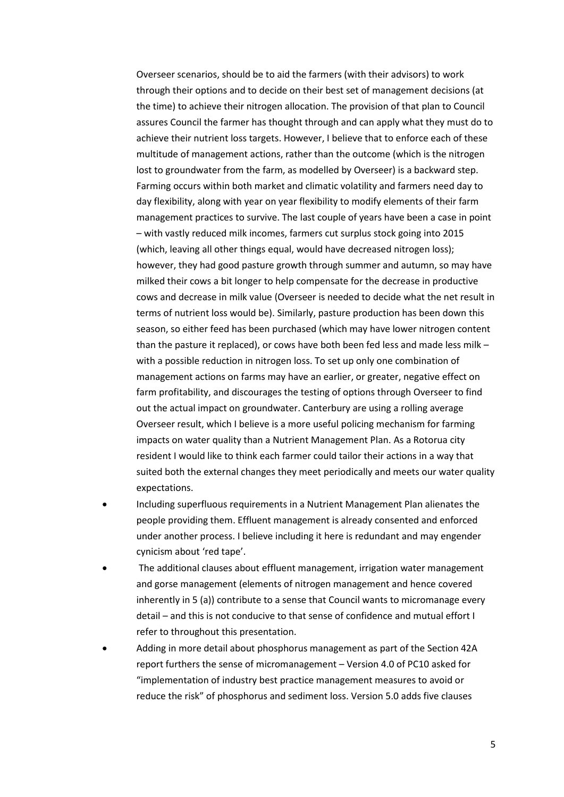Overseer scenarios, should be to aid the farmers (with their advisors) to work through their options and to decide on their best set of management decisions (at the time) to achieve their nitrogen allocation. The provision of that plan to Council assures Council the farmer has thought through and can apply what they must do to achieve their nutrient loss targets. However, I believe that to enforce each of these multitude of management actions, rather than the outcome (which is the nitrogen lost to groundwater from the farm, as modelled by Overseer) is a backward step. Farming occurs within both market and climatic volatility and farmers need day to day flexibility, along with year on year flexibility to modify elements of their farm management practices to survive. The last couple of years have been a case in point – with vastly reduced milk incomes, farmers cut surplus stock going into 2015 (which, leaving all other things equal, would have decreased nitrogen loss); however, they had good pasture growth through summer and autumn, so may have milked their cows a bit longer to help compensate for the decrease in productive cows and decrease in milk value (Overseer is needed to decide what the net result in terms of nutrient loss would be). Similarly, pasture production has been down this season, so either feed has been purchased (which may have lower nitrogen content than the pasture it replaced), or cows have both been fed less and made less milk – with a possible reduction in nitrogen loss. To set up only one combination of management actions on farms may have an earlier, or greater, negative effect on farm profitability, and discourages the testing of options through Overseer to find out the actual impact on groundwater. Canterbury are using a rolling average Overseer result, which I believe is a more useful policing mechanism for farming impacts on water quality than a Nutrient Management Plan. As a Rotorua city resident I would like to think each farmer could tailor their actions in a way that suited both the external changes they meet periodically and meets our water quality expectations.

- Including superfluous requirements in a Nutrient Management Plan alienates the people providing them. Effluent management is already consented and enforced under another process. I believe including it here is redundant and may engender cynicism about 'red tape'.
- The additional clauses about effluent management, irrigation water management and gorse management (elements of nitrogen management and hence covered inherently in 5 (a)) contribute to a sense that Council wants to micromanage every detail – and this is not conducive to that sense of confidence and mutual effort I refer to throughout this presentation.
- Adding in more detail about phosphorus management as part of the Section 42A report furthers the sense of micromanagement – Version 4.0 of PC10 asked for "implementation of industry best practice management measures to avoid or reduce the risk" of phosphorus and sediment loss. Version 5.0 adds five clauses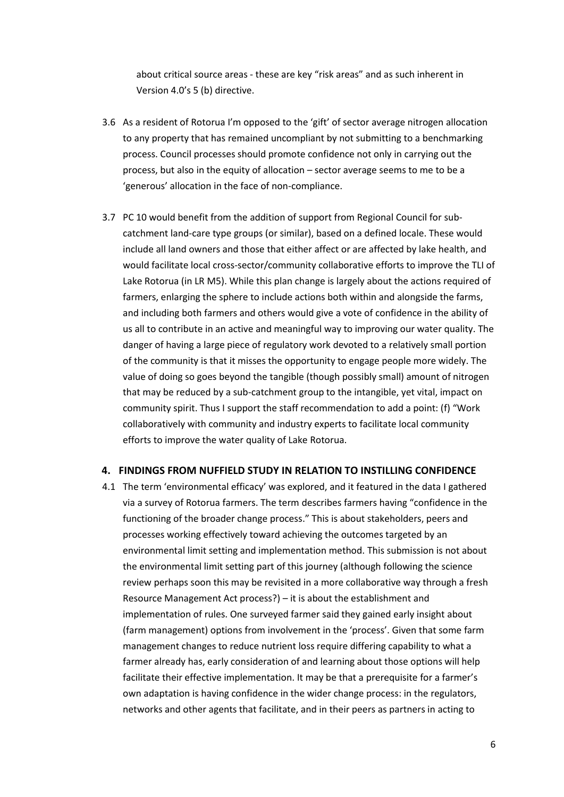about critical source areas - these are key "risk areas" and as such inherent in Version 4.0's 5 (b) directive.

- 3.6 As a resident of Rotorua I'm opposed to the 'gift' of sector average nitrogen allocation to any property that has remained uncompliant by not submitting to a benchmarking process. Council processes should promote confidence not only in carrying out the process, but also in the equity of allocation – sector average seems to me to be a 'generous' allocation in the face of non-compliance.
- 3.7 PC 10 would benefit from the addition of support from Regional Council for subcatchment land-care type groups (or similar), based on a defined locale. These would include all land owners and those that either affect or are affected by lake health, and would facilitate local cross-sector/community collaborative efforts to improve the TLI of Lake Rotorua (in LR M5). While this plan change is largely about the actions required of farmers, enlarging the sphere to include actions both within and alongside the farms, and including both farmers and others would give a vote of confidence in the ability of us all to contribute in an active and meaningful way to improving our water quality. The danger of having a large piece of regulatory work devoted to a relatively small portion of the community is that it misses the opportunity to engage people more widely. The value of doing so goes beyond the tangible (though possibly small) amount of nitrogen that may be reduced by a sub-catchment group to the intangible, yet vital, impact on community spirit. Thus I support the staff recommendation to add a point: (f) "Work collaboratively with community and industry experts to facilitate local community efforts to improve the water quality of Lake Rotorua.

#### **4. FINDINGS FROM NUFFIELD STUDY IN RELATION TO INSTILLING CONFIDENCE**

4.1 The term 'environmental efficacy' was explored, and it featured in the data I gathered via a survey of Rotorua farmers. The term describes farmers having "confidence in the functioning of the broader change process." This is about stakeholders, peers and processes working effectively toward achieving the outcomes targeted by an environmental limit setting and implementation method. This submission is not about the environmental limit setting part of this journey (although following the science review perhaps soon this may be revisited in a more collaborative way through a fresh Resource Management Act process?) – it is about the establishment and implementation of rules. One surveyed farmer said they gained early insight about (farm management) options from involvement in the 'process'. Given that some farm management changes to reduce nutrient loss require differing capability to what a farmer already has, early consideration of and learning about those options will help facilitate their effective implementation. It may be that a prerequisite for a farmer's own adaptation is having confidence in the wider change process: in the regulators, networks and other agents that facilitate, and in their peers as partners in acting to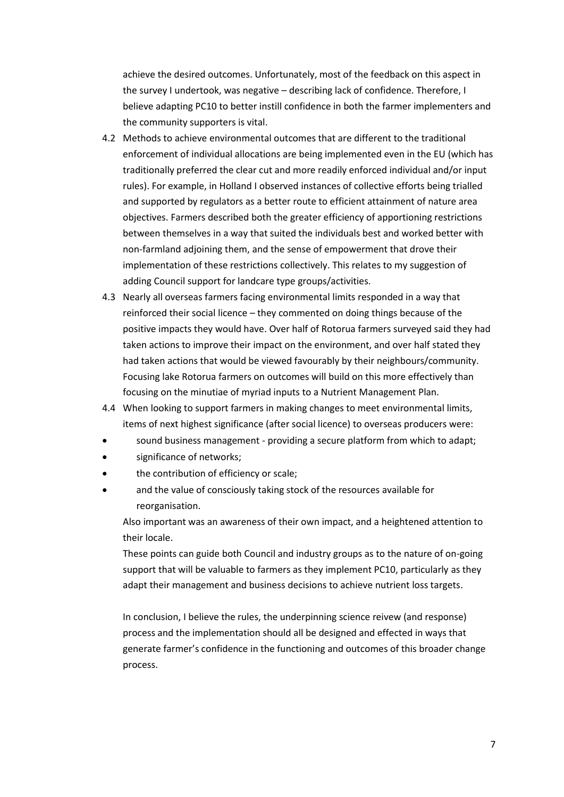achieve the desired outcomes. Unfortunately, most of the feedback on this aspect in the survey I undertook, was negative – describing lack of confidence. Therefore, I believe adapting PC10 to better instill confidence in both the farmer implementers and the community supporters is vital.

- 4.2 Methods to achieve environmental outcomes that are different to the traditional enforcement of individual allocations are being implemented even in the EU (which has traditionally preferred the clear cut and more readily enforced individual and/or input rules). For example, in Holland I observed instances of collective efforts being trialled and supported by regulators as a better route to efficient attainment of nature area objectives. Farmers described both the greater efficiency of apportioning restrictions between themselves in a way that suited the individuals best and worked better with non-farmland adjoining them, and the sense of empowerment that drove their implementation of these restrictions collectively. This relates to my suggestion of adding Council support for landcare type groups/activities.
- 4.3 Nearly all overseas farmers facing environmental limits responded in a way that reinforced their social licence – they commented on doing things because of the positive impacts they would have. Over half of Rotorua farmers surveyed said they had taken actions to improve their impact on the environment, and over half stated they had taken actions that would be viewed favourably by their neighbours/community. Focusing lake Rotorua farmers on outcomes will build on this more effectively than focusing on the minutiae of myriad inputs to a Nutrient Management Plan.
- 4.4 When looking to support farmers in making changes to meet environmental limits, items of next highest significance (after social licence) to overseas producers were:
- sound business management providing a secure platform from which to adapt;
- significance of networks;
- the contribution of efficiency or scale;
- and the value of consciously taking stock of the resources available for reorganisation.

Also important was an awareness of their own impact, and a heightened attention to their locale.

These points can guide both Council and industry groups as to the nature of on-going support that will be valuable to farmers as they implement PC10, particularly as they adapt their management and business decisions to achieve nutrient loss targets.

In conclusion, I believe the rules, the underpinning science reivew (and response) process and the implementation should all be designed and effected in ways that generate farmer's confidence in the functioning and outcomes of this broader change process.